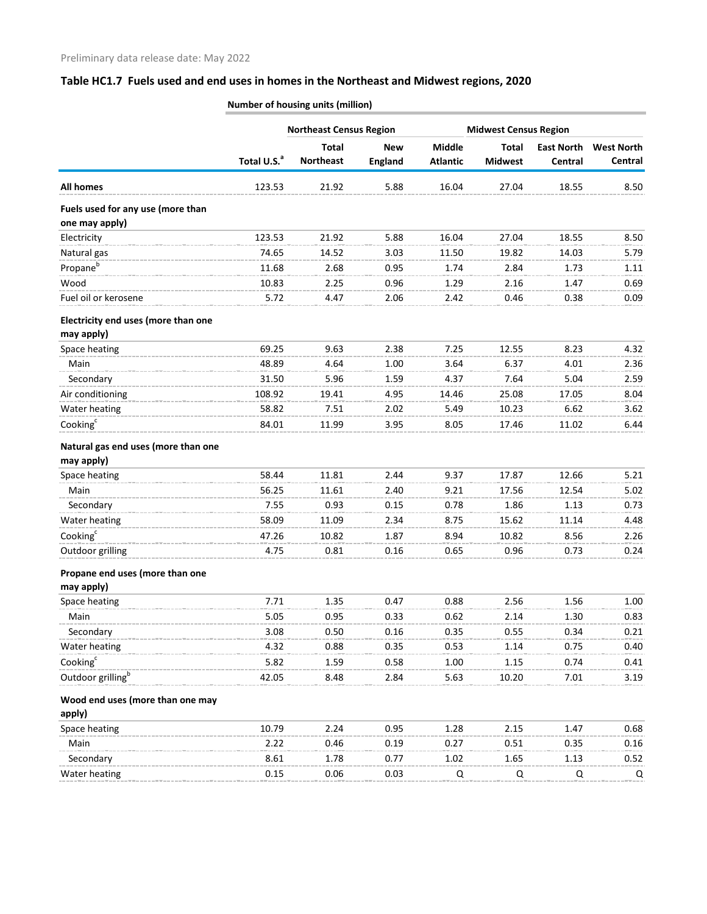## **Table HC1.7 Fuels used and end uses in homes in the Northeast and Midwest regions, 2020**

|                                                     | Total U.S. <sup>a</sup> | <b>Northeast Census Region</b>   |                              |                           | <b>Midwest Census Region</b>   |                                     |                              |
|-----------------------------------------------------|-------------------------|----------------------------------|------------------------------|---------------------------|--------------------------------|-------------------------------------|------------------------------|
|                                                     |                         | <b>Total</b><br><b>Northeast</b> | <b>New</b><br><b>England</b> | Middle<br><b>Atlantic</b> | <b>Total</b><br><b>Midwest</b> | <b>East North</b><br><b>Central</b> | <b>West North</b><br>Central |
| <b>All homes</b>                                    | 123.53                  | 21.92                            | 5.88                         | 16.04                     | 27.04                          | 18.55                               | 8.50                         |
| Fuels used for any use (more than<br>one may apply) |                         |                                  |                              |                           |                                |                                     |                              |
| Electricity                                         | 123.53                  | 21.92                            | 5.88                         | 16.04                     | 27.04                          | 18.55                               | 8.50                         |
| Natural gas                                         | 74.65                   | 14.52                            | 3.03                         | 11.50                     | 19.82                          | 14.03                               | 5.79                         |
| Propane <sup>b</sup>                                | 11.68                   | 2.68                             | 0.95                         | 1.74                      | 2.84                           | 1.73                                | 1.11                         |
| Wood                                                | 10.83                   | 2.25                             | 0.96                         | 1.29                      | 2.16                           | 1.47                                | 0.69                         |
| Fuel oil or kerosene                                | 5.72                    | 4.47                             | 2.06                         | 2.42                      | 0.46                           | 0.38                                | 0.09                         |
| Electricity end uses (more than one<br>may apply)   |                         |                                  |                              |                           |                                |                                     |                              |
| Space heating                                       | 69.25                   | 9.63                             | 2.38                         | 7.25                      | 12.55                          | 8.23                                | 4.32                         |
| Main                                                | 48.89                   | 4.64                             | 1.00                         | 3.64                      | 6.37                           | 4.01                                | 2.36                         |
| Secondary                                           | 31.50                   | 5.96                             | 1.59                         | 4.37                      | 7.64                           | 5.04                                | 2.59                         |
| Air conditioning                                    | 108.92                  | 19.41                            | 4.95                         | 14.46                     | 25.08                          | 17.05                               | 8.04                         |
| Water heating                                       | 58.82                   | 7.51                             | 2.02                         | 5.49                      | 10.23                          | 6.62                                | 3.62                         |
| Cooking <sup>c</sup>                                | 84.01                   | 11.99                            | 3.95                         | 8.05                      | 17.46                          | 11.02                               | 6.44                         |
| Natural gas end uses (more than one<br>may apply)   |                         |                                  |                              |                           |                                |                                     |                              |
| Space heating                                       | 58.44                   | 11.81                            | 2.44                         | 9.37                      | 17.87                          | 12.66                               | 5.21                         |
| Main                                                | 56.25                   | 11.61                            | 2.40                         | 9.21                      | 17.56                          | 12.54                               | 5.02                         |
| Secondary                                           | 7.55                    | 0.93                             | 0.15                         | 0.78                      | 1.86                           | 1.13                                | 0.73                         |
| Water heating                                       | 58.09                   | 11.09                            | 2.34                         | 8.75                      | 15.62                          | 11.14                               | 4.48                         |
| Cooking <sup>c</sup>                                | 47.26                   | 10.82                            | 1.87                         | 8.94                      | 10.82                          | 8.56                                | 2.26                         |
| Outdoor grilling                                    | 4.75                    | 0.81                             | 0.16                         | 0.65                      | 0.96                           | 0.73                                | 0.24                         |
| Propane end uses (more than one<br>may apply)       |                         |                                  |                              |                           |                                |                                     |                              |
| Space heating                                       | 7.71                    | 1.35                             | 0.47                         | 0.88                      | 2.56                           | 1.56                                | 1.00                         |
| Main                                                | 5.05                    | 0.95                             | 0.33                         | 0.62                      | 2.14                           | 1.30                                | 0.83                         |
| Secondary                                           | 3.08                    | 0.50                             | 0.16                         | 0.35                      | 0.55                           | 0.34                                | 0.21                         |
| Water heating                                       | 4.32                    | 0.88                             | 0.35                         | 0.53                      | 1.14                           | 0.75                                | 0.40                         |
| Cooking <sup>c</sup>                                | 5.82                    | 1.59                             | 0.58                         | 1.00                      | 1.15                           | 0.74                                | 0.41                         |
| Outdoor grilling <sup>b</sup>                       | 42.05                   | 8.48                             | 2.84                         | 5.63                      | 10.20                          | 7.01                                | 3.19                         |
| Wood end uses (more than one may<br>apply)          |                         |                                  |                              |                           |                                |                                     |                              |
| Space heating                                       | 10.79                   | 2.24                             | 0.95                         | 1.28                      | 2.15                           | 1.47                                | 0.68                         |
| Main                                                | 2.22                    | 0.46                             | 0.19                         | 0.27                      | 0.51                           | 0.35                                | 0.16                         |
| Secondary                                           | 8.61                    | 1.78                             | 0.77                         | 1.02                      | 1.65                           | 1.13                                | 0.52                         |
| Water heating                                       | 0.15                    | 0.06                             | 0.03                         | Q                         | Q                              | Q                                   | Q                            |
|                                                     |                         |                                  |                              |                           |                                |                                     |                              |

**Number of housing units (million)**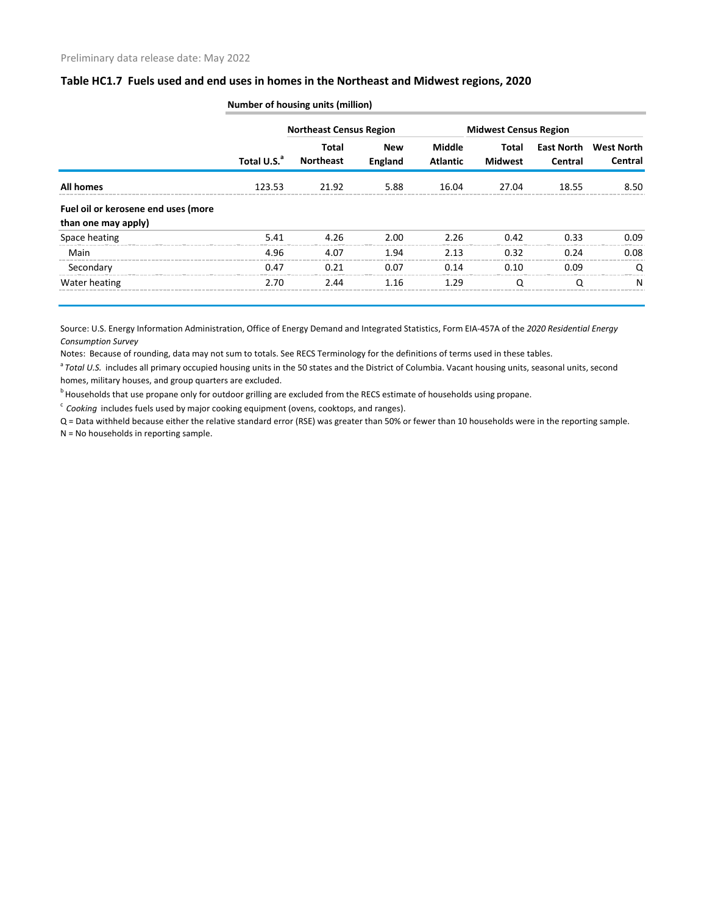|                                                            | Total U.S. <sup>a</sup> | <b>Northeast Census Region</b>   |                              |                                  | <b>Midwest Census Region</b> |                              |                              |
|------------------------------------------------------------|-------------------------|----------------------------------|------------------------------|----------------------------------|------------------------------|------------------------------|------------------------------|
|                                                            |                         | <b>Total</b><br><b>Northeast</b> | <b>New</b><br><b>England</b> | <b>Middle</b><br><b>Atlantic</b> | Total<br><b>Midwest</b>      | <b>East North</b><br>Central | <b>West North</b><br>Central |
| <b>All homes</b>                                           | 123.53                  | 21.92                            | 5.88                         | 16.04                            | 27.04                        | 18.55                        | 8.50                         |
| Fuel oil or kerosene end uses (more<br>than one may apply) |                         |                                  |                              |                                  |                              |                              |                              |
| Space heating                                              | 5.41                    | 4.26                             | 2.00                         | 2.26                             | 0.42                         | 0.33                         | 0.09                         |
| Main                                                       | 496                     | 4.07                             | 194                          | 2 13                             | 0.32                         | በ ን4                         | 0 08                         |
| Secondary                                                  | 0.47                    | 0.21                             | 0.07                         | በ 14                             | 0.10                         | <u>በ በዓ</u>                  |                              |
| Water heating                                              | 2.70                    | 2.44                             | 1 1 6                        | 1 29                             |                              | O                            | N                            |

## **Table HC1.7 Fuels used and end uses in homes in the Northeast and Midwest regions, 2020**

**Number of housing units (million)**

Source: U.S. Energy Information Administration, Office of Energy Demand and Integrated Statistics, Form EIA-457A of the *2020 Residential Energy Consumption Survey*

Notes: Because of rounding, data may not sum to totals. See RECS Terminology for the definitions of terms used in these tables.

<sup>a</sup> Total U.S. includes all primary occupied housing units in the 50 states and the District of Columbia. Vacant housing units, seasonal units, second homes, military houses, and group quarters are excluded.

<sup>b</sup> Households that use propane only for outdoor grilling are excluded from the RECS estimate of households using propane.

<sup>c</sup> Cooking includes fuels used by major cooking equipment (ovens, cooktops, and ranges).

Q = Data withheld because either the relative standard error (RSE) was greater than 50% or fewer than 10 households were in the reporting sample. N = No households in reporting sample.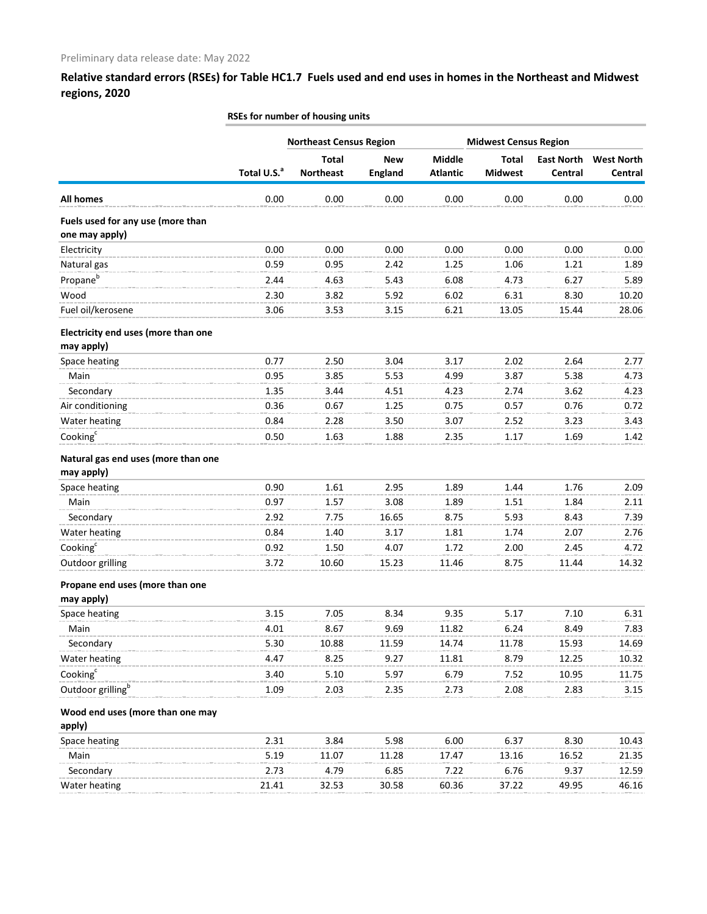## **Relative standard errors (RSEs) for Table HC1.7 Fuels used and end uses in homes in the Northeast and Midwest regions, 2020**

|                                                     |                         | <b>Northeast Census Region</b>   |                              | <b>Midwest Census Region</b>     |                                |                              |                              |
|-----------------------------------------------------|-------------------------|----------------------------------|------------------------------|----------------------------------|--------------------------------|------------------------------|------------------------------|
|                                                     | Total U.S. <sup>a</sup> | <b>Total</b><br><b>Northeast</b> | <b>New</b><br><b>England</b> | <b>Middle</b><br><b>Atlantic</b> | <b>Total</b><br><b>Midwest</b> | <b>East North</b><br>Central | <b>West North</b><br>Central |
| <b>All homes</b>                                    | 0.00                    | 0.00                             | 0.00                         | 0.00                             | 0.00                           | 0.00                         | 0.00                         |
| Fuels used for any use (more than<br>one may apply) |                         |                                  |                              |                                  |                                |                              |                              |
| Electricity                                         | 0.00                    | 0.00                             | 0.00                         | 0.00                             | 0.00                           | 0.00                         | 0.00                         |
| Natural gas                                         | 0.59                    | 0.95                             | 2.42                         | 1.25                             | 1.06                           | 1.21                         | 1.89                         |
| Propane <sup>b</sup>                                | 2.44                    | 4.63                             | 5.43                         | 6.08                             | 4.73                           | 6.27                         | 5.89                         |
| Wood                                                | 2.30                    | 3.82                             | 5.92                         | 6.02                             | 6.31                           | 8.30                         | 10.20                        |
| Fuel oil/kerosene                                   | 3.06                    | 3.53                             | 3.15                         | 6.21                             | 13.05                          | 15.44                        | 28.06                        |
| Electricity end uses (more than one<br>may apply)   |                         |                                  |                              |                                  |                                |                              |                              |
| Space heating                                       | 0.77                    | 2.50                             | 3.04                         | 3.17                             | 2.02                           | 2.64                         | 2.77                         |
| Main                                                | 0.95                    | 3.85                             | 5.53                         | 4.99                             | 3.87                           | 5.38                         | 4.73                         |
| Secondary                                           | 1.35                    | 3.44                             | 4.51                         | 4.23                             | 2.74                           | 3.62                         | 4.23                         |
| Air conditioning                                    | 0.36                    | 0.67                             | 1.25                         | 0.75                             | 0.57                           | 0.76                         | 0.72                         |
| Water heating                                       | 0.84                    | 2.28                             | 3.50                         | 3.07                             | 2.52                           | 3.23                         | 3.43                         |
| Cooking <sup>c</sup>                                | 0.50                    | 1.63                             | 1.88                         | 2.35                             | 1.17                           | 1.69                         | 1.42                         |
| Natural gas end uses (more than one<br>may apply)   |                         |                                  |                              |                                  |                                |                              |                              |
| Space heating                                       | 0.90                    | 1.61                             | 2.95                         | 1.89                             | 1.44                           | 1.76                         | 2.09                         |
| Main                                                | 0.97                    | 1.57                             | 3.08                         | 1.89                             | 1.51                           | 1.84                         | 2.11                         |
| Secondary                                           | 2.92                    | 7.75                             | 16.65                        | 8.75                             | 5.93                           | 8.43                         | 7.39                         |
| Water heating                                       | 0.84                    | 1.40                             | 3.17                         | 1.81                             | 1.74                           | 2.07                         | 2.76                         |
| Cooking <sup>c</sup>                                | 0.92                    | 1.50                             | 4.07                         | 1.72                             | 2.00                           | 2.45                         | 4.72                         |
| Outdoor grilling                                    | 3.72                    | 10.60                            | 15.23                        | 11.46                            | 8.75                           | 11.44                        | 14.32                        |
| Propane end uses (more than one                     |                         |                                  |                              |                                  |                                |                              |                              |
| may apply)                                          |                         |                                  |                              |                                  |                                |                              |                              |
| Space heating                                       | 3.15                    | 7.05                             | 8.34                         | 9.35                             | 5.17                           | 7.10                         | 6.31                         |
| Main                                                | 4.01                    | 8.67                             | 9.69                         | 11.82                            | 6.24                           | 8.49                         | 7.83                         |
| Secondary                                           | 5.30                    | 10.88                            | 11.59                        | 14.74                            | 11.78                          | 15.93                        | 14.69                        |
| Water heating                                       | 4.47                    | 8.25                             | 9.27                         | 11.81                            | 8.79                           | 12.25                        | 10.32                        |
| Cooking <sup>c</sup>                                | 3.40                    | 5.10                             | 5.97                         | 6.79                             | 7.52                           | 10.95                        | 11.75                        |
| Outdoor grilling <sup>b</sup>                       | 1.09                    | 2.03                             | 2.35                         | 2.73                             | 2.08                           | 2.83                         | 3.15                         |
| Wood end uses (more than one may<br>apply)          |                         |                                  |                              |                                  |                                |                              |                              |
| Space heating                                       | 2.31                    | 3.84                             | 5.98                         | 6.00                             | 6.37                           | 8.30                         | 10.43                        |
| Main                                                | 5.19                    | 11.07                            | 11.28                        | 17.47                            | 13.16                          | 16.52                        | 21.35                        |
| Secondary                                           | 2.73                    | 4.79                             | 6.85                         | 7.22                             | 6.76                           | 9.37                         | 12.59                        |
| Water heating                                       | 21.41                   | 32.53                            | 30.58                        | 60.36                            | 37.22                          | 49.95                        | 46.16                        |

**RSEs for number of housing units**